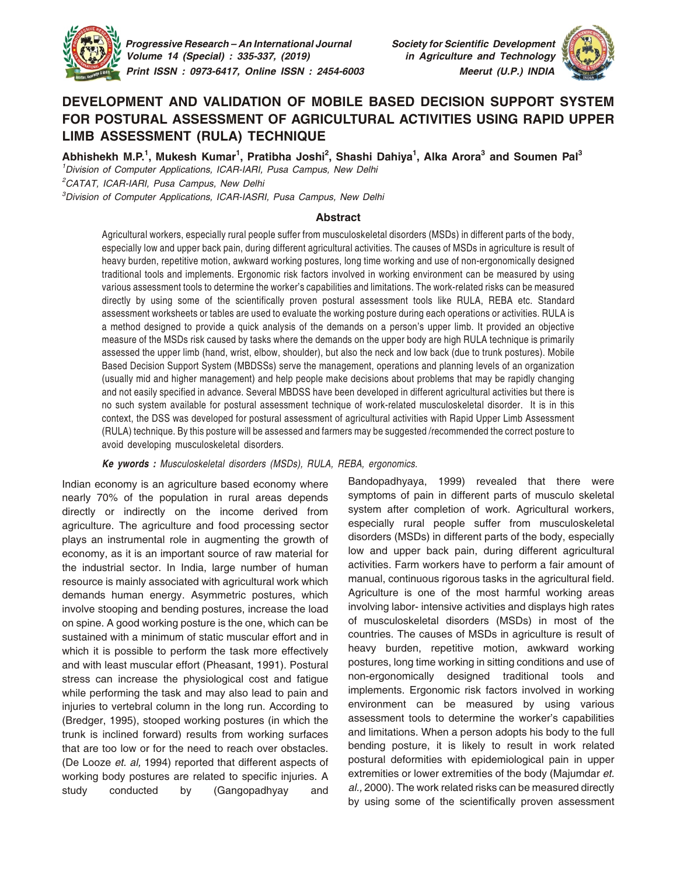

 *Progressive Research – An International Journal Society for Scientific Development Volume 14 (Special) : 335-337, (2019) in Agriculture and Technology Print ISSN : 0973-6417, Online ISSN : 2454-6003 Meerut (U.P.) INDIA*



# **DEVELOPMENT AND VALIDATION OF MOBILE BASED DECISION SUPPORT SYSTEM FOR POSTURAL ASSESSMENT OF AGRICULTURAL ACTIVITIES USING RAPID UPPER LIMB ASSESSMENT (RULA) TECHNIQUE**

**Abhishekh M.P. 1 , Mukesh Kumar<sup>1</sup> , Pratibha Joshi 2 , Shashi Dahiya 1 , Alka Arora<sup>3</sup> and Soumen Pal<sup>3</sup>**

<sup>1</sup>Division of Computer Applications, ICAR-IARI, Pusa Campus, New Delhi

<sup>2</sup>CATAT, ICAR-IARI, Pusa Campus, New Delhi

<sup>3</sup>Division of Computer Applications, ICAR-IASRI, Pusa Campus, New Delhi

#### **Abstract**

Agricultural workers, especially rural people suffer from musculoskeletal disorders (MSDs) in different parts of the body, especially low and upper back pain, during different agricultural activities. The causes of MSDs in agriculture is result of heavy burden, repetitive motion, awkward working postures, long time working and use of non-ergonomically designed traditional tools and implements. Ergonomic risk factors involved in working environment can be measured by using various assessment tools to determine the worker's capabilities and limitations. The work-related risks can be measured directly by using some of the scientifically proven postural assessment tools like RULA, REBA etc. Standard assessment worksheets or tables are used to evaluate the working posture during each operations or activities. RULA is a method designed to provide a quick analysis of the demands on a person's upper limb. It provided an objective measure of the MSDs risk caused by tasks where the demands on the upper body are high RULA technique is primarily assessed the upper limb (hand, wrist, elbow, shoulder), but also the neck and low back (due to trunk postures). Mobile Based Decision Support System (MBDSSs) serve the management, operations and planning levels of an organization (usually mid and higher management) and help people make decisions about problems that may be rapidly changing and not easily specified in advance. Several MBDSS have been developed in different agricultural activities but there is no such system available for postural assessment technique of work-related musculoskeletal disorder. It is in this context, the DSS was developed for postural assessment of agricultural activities with Rapid Upper Limb Assessment (RULA) technique. By this posture will be assessed and farmers may be suggested /recommended the correct posture to avoid developing musculoskeletal disorders.

*Ke ywords : Musculoskeletal disorders (MSDs), RULA, REBA, ergonomics.*

Indian economy is an agriculture based economy where nearly 70% of the population in rural areas depends directly or indirectly on the income derived from agriculture. The agriculture and food processing sector plays an instrumental role in augmenting the growth of economy, as it is an important source of raw material for the industrial sector. In India, large number of human resource is mainly associated with agricultural work which demands human energy. Asymmetric postures, which involve stooping and bending postures, increase the load on spine. A good working posture is the one, which can be sustained with a minimum of static muscular effort and in which it is possible to perform the task more effectively and with least muscular effort (Pheasant, 1991). Postural stress can increase the physiological cost and fatigue while performing the task and may also lead to pain and injuries to vertebral column in the long run. According to (Bredger, 1995), stooped working postures (in which the trunk is inclined forward) results from working surfaces that are too low or for the need to reach over obstacles. (De Looze *et. al,* 1994) reported that different aspects of working body postures are related to specific injuries. A study conducted by (Gangopadhyay and

Bandopadhyaya, 1999) revealed that there were symptoms of pain in different parts of musculo skeletal system after completion of work. Agricultural workers, especially rural people suffer from musculoskeletal disorders (MSDs) in different parts of the body, especially low and upper back pain, during different agricultural activities. Farm workers have to perform a fair amount of manual, continuous rigorous tasks in the agricultural field. Agriculture is one of the most harmful working areas involving labor- intensive activities and displays high rates of musculoskeletal disorders (MSDs) in most of the countries. The causes of MSDs in agriculture is result of heavy burden, repetitive motion, awkward working postures, long time working in sitting conditions and use of non-ergonomically designed traditional tools and implements. Ergonomic risk factors involved in working environment can be measured by using various assessment tools to determine the worker's capabilities and limitations. When a person adopts his body to the full bending posture, it is likely to result in work related postural deformities with epidemiological pain in upper extremities or lower extremities of the body (Majumdar *et. al.,* 2000). The work related risks can be measured directly by using some of the scientifically proven assessment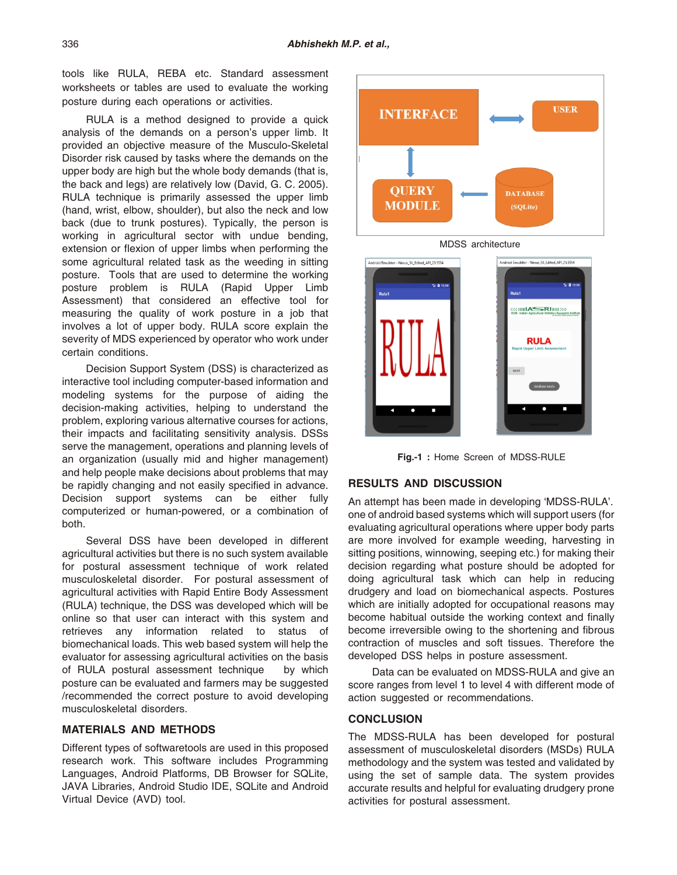tools like RULA, REBA etc. Standard assessment worksheets or tables are used to evaluate the working posture during each operations or activities.

RULA is a method designed to provide a quick analysis of the demands on a person's upper limb. It provided an objective measure of the Musculo-Skeletal Disorder risk caused by tasks where the demands on the upper body are high but the whole body demands (that is, the back and legs) are relatively low (David, G. C. 2005). RULA technique is primarily assessed the upper limb (hand, wrist, elbow, shoulder), but also the neck and low back (due to trunk postures). Typically, the person is working in agricultural sector with undue bending, extension or flexion of upper limbs when performing the some agricultural related task as the weeding in sitting posture. Tools that are used to determine the working posture problem is RULA (Rapid Upper Limb Assessment) that considered an effective tool for measuring the quality of work posture in a job that involves a lot of upper body. RULA score explain the severity of MDS experienced by operator who work under certain conditions.

Decision Support System (DSS) is characterized as interactive tool including computer-based information and modeling systems for the purpose of aiding the decision-making activities, helping to understand the problem, exploring various alternative courses for actions, their impacts and facilitating sensitivity analysis. DSSs serve the management, operations and planning levels of an organization (usually mid and higher management) and help people make decisions about problems that may be rapidly changing and not easily specified in advance. Decision support systems can be either fully computerized or human-powered, or a combination of both.

Several DSS have been developed in different agricultural activities but there is no such system available for postural assessment technique of work related musculoskeletal disorder. For postural assessment of agricultural activities with Rapid Entire Body Assessment (RULA) technique, the DSS was developed which will be online so that user can interact with this system and retrieves any information related to status of biomechanical loads. This web based system will help the evaluator for assessing agricultural activities on the basis of RULA postural assessment technique by which posture can be evaluated and farmers may be suggested /recommended the correct posture to avoid developing musculoskeletal disorders.

#### **MATERIALS AND METHODS**

Different types of softwaretools are used in this proposed research work. This software includes Programming Languages, Android Platforms, DB Browser for SQLite, JAVA Libraries, Android Studio IDE, SQLite and Android Virtual Device (AVD) tool.



**Fig.-1 :** Home Screen of MDSS-RULE

### **RESULTS AND DISCUSSION**

An attempt has been made in developing 'MDSS-RULA'. one of android based systems which will support users (for evaluating agricultural operations where upper body parts are more involved for example weeding, harvesting in sitting positions, winnowing, seeping etc.) for making their decision regarding what posture should be adopted for doing agricultural task which can help in reducing drudgery and load on biomechanical aspects. Postures which are initially adopted for occupational reasons may become habitual outside the working context and finally become irreversible owing to the shortening and fibrous contraction of muscles and soft tissues. Therefore the developed DSS helps in posture assessment.

Data can be evaluated on MDSS-RULA and give an score ranges from level 1 to level 4 with different mode of action suggested or recommendations.

## **CONCLUSION**

The MDSS-RULA has been developed for postural assessment of musculoskeletal disorders (MSDs) RULA methodology and the system was tested and validated by using the set of sample data. The system provides accurate results and helpful for evaluating drudgery prone activities for postural assessment.